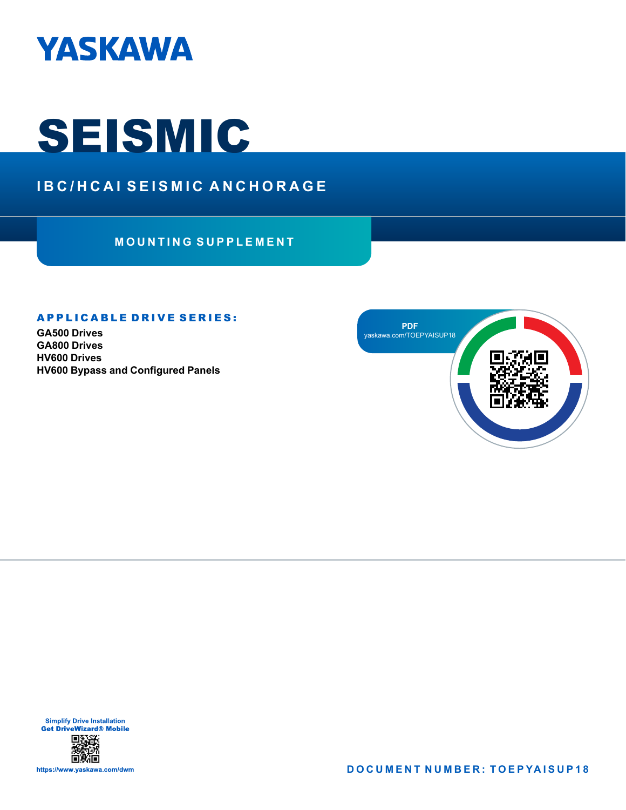

# **SEISMIC**

# **IBC/HCAI SEISMIC ANCHORAGE**

**MOUNTING SUPPLEMENT**

#### **APPLICABLE DRIVE SERIES:**

**GA500 Drives GA800 Drives HV600 Drives HV600 Bypass and Configured Panels**



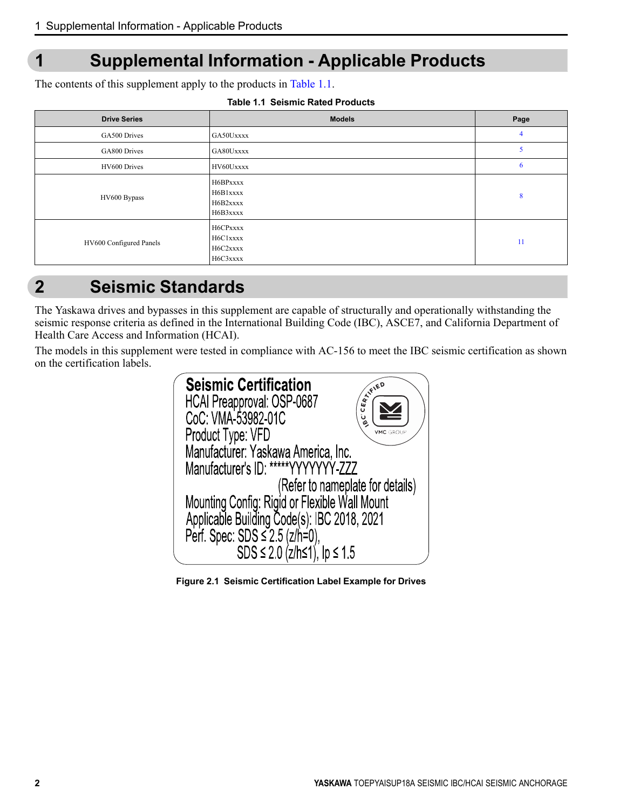# <span id="page-1-0"></span>**1 Supplemental Information - Applicable Products**

The contents of this supplement apply to the products in [Table](#page-1-1) 1.1.

| Table 1.1  Seismic Rated Products |  |
|-----------------------------------|--|
|                                   |  |

<span id="page-1-1"></span>

| <b>Drive Series</b>     | <b>Models</b>                                | Page |
|-------------------------|----------------------------------------------|------|
| GA500 Drives            | GA50Uxxxx                                    | 4    |
| GA800 Drives            | GA80Uxxxx                                    |      |
| HV600 Drives            | HV60Uxxxx                                    | 6    |
| HV600 Bypass            | H6BPxxxx<br>H6B1xxxx<br>H6B2xxxx<br>H6B3xxxx | 8    |
| HV600 Configured Panels | H6CPxxxx<br>H6C1xxxx<br>H6C2xxxx<br>H6C3xxxx | 11   |

# <span id="page-1-2"></span>**2 Seismic Standards**

The Yaskawa drives and bypasses in this supplement are capable of structurally and operationally withstanding the seismic response criteria as defined in the International Building Code (IBC), ASCE7, and California Department of Health Care Access and Information (HCAI).

The models in this supplement were tested in compliance with AC-156 to meet the IBC seismic certification as shown on the certification labels.

| <b>Seismic Certification</b><br>CEATFIED<br>HCAI Preapproval: OSP-0687<br>CoC: VMA-53982-01C<br>ن<br>ھِ<br>Product Type: VFD<br>VMC GRO |  |
|-----------------------------------------------------------------------------------------------------------------------------------------|--|
| Manufacturer: Yaskawa America, Inc.<br>Manufacturer's ID: *****YYYYYYY-ZZZ                                                              |  |
| (Refer to nameplate for details)                                                                                                        |  |
| Mounting Config: Rigid or Flexible Wall Mount<br>Applicable Building Code(s): IBC 2018, 2021<br>Perf. Spec: SDS $\leq$ 2.5 (z/h=0),     |  |
| SDS $\leq$ 2.0 (z/h $\leq$ 1), lp $\leq$ 1.5                                                                                            |  |

**Figure 2.1 Seismic Certification Label Example for Drives**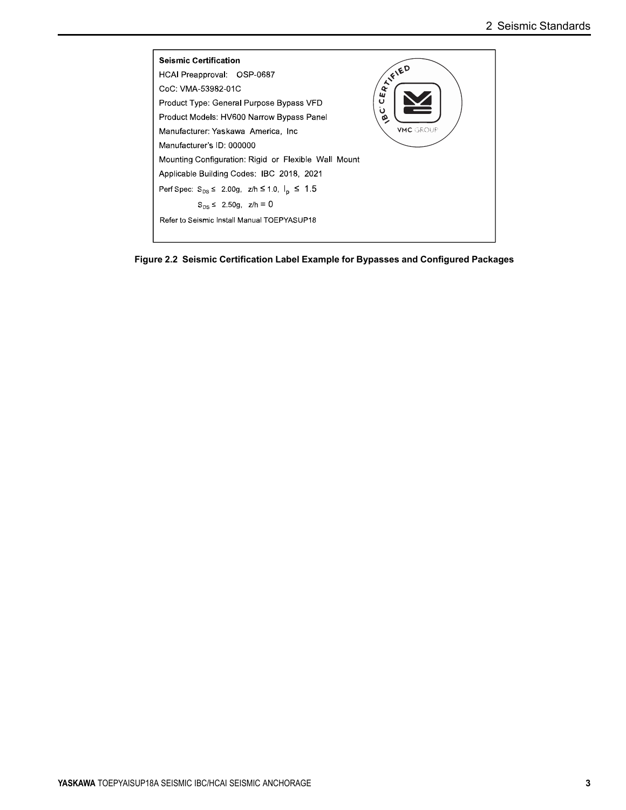

**Figure 2.2 Seismic Certification Label Example for Bypasses and Configured Packages**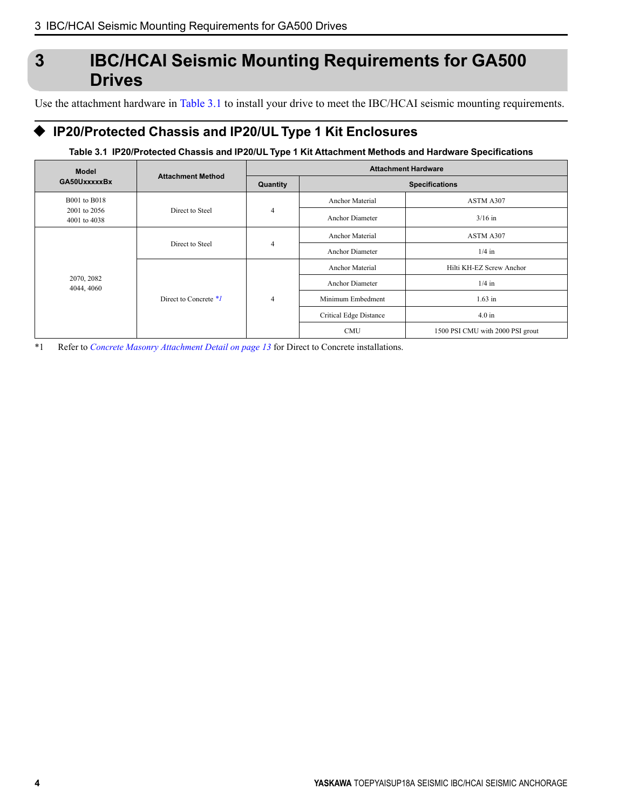# <span id="page-3-0"></span>**3 IBC/HCAI Seismic Mounting Requirements for GA500 Drives**

Use the attachment hardware in [Table](#page-3-1) 3.1 to install your drive to meet the IBC/HCAI seismic mounting requirements.

## ◆ **IP20/Protected Chassis and IP20/UL Type 1 Kit Enclosures**

#### **Table 3.1 IP20/Protected Chassis and IP20/UL Type 1 Kit Attachment Methods and Hardware Specifications**

<span id="page-3-2"></span><span id="page-3-1"></span>

| <b>Model</b>                 |                          |                | <b>Attachment Hardware</b> |                                  |  |
|------------------------------|--------------------------|----------------|----------------------------|----------------------------------|--|
| GA50UxxxxxBx                 | <b>Attachment Method</b> | Quantity       |                            | <b>Specifications</b>            |  |
| <b>B001</b> to B018          |                          |                | <b>Anchor Material</b>     | ASTM A307                        |  |
| 2001 to 2056<br>4001 to 4038 | Direct to Steel          | $\overline{4}$ | <b>Anchor Diameter</b>     | $3/16$ in                        |  |
| 2070, 2082<br>4044, 4060     | Direct to Steel          | $\overline{4}$ | <b>Anchor Material</b>     | ASTM A307                        |  |
|                              |                          |                | <b>Anchor Diameter</b>     | $1/4$ in                         |  |
|                              | Direct to Concrete $*1$  | $\overline{4}$ | <b>Anchor Material</b>     | Hilti KH-EZ Screw Anchor         |  |
|                              |                          |                | <b>Anchor Diameter</b>     | $1/4$ in                         |  |
|                              |                          |                | Minimum Embedment          | $1.63$ in                        |  |
|                              |                          |                | Critical Edge Distance     | $4.0 \text{ in}$                 |  |
|                              |                          |                | <b>CMU</b>                 | 1500 PSI CMU with 2000 PSI grout |  |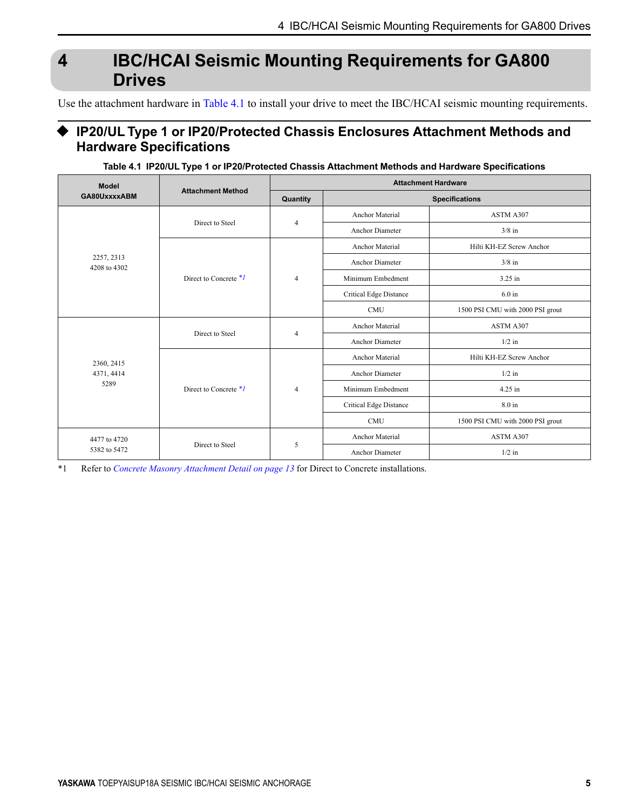# <span id="page-4-0"></span>**4 IBC/HCAI Seismic Mounting Requirements for GA800 Drives**

Use the attachment hardware in [Table](#page-4-1) 4.1 to install your drive to meet the IBC/HCAI seismic mounting requirements.

### ◆ **IP20/UL Type 1 or IP20/Protected Chassis Enclosures Attachment Methods and Hardware Specifications**

|  |  |  | Table 4.1 IP20/UL Type 1 or IP20/Protected Chassis Attachment Methods and Hardware Specifications |
|--|--|--|---------------------------------------------------------------------------------------------------|
|  |  |  |                                                                                                   |

<span id="page-4-2"></span><span id="page-4-1"></span>

| <b>Model</b>               | <b>Attachment Method</b> | <b>Attachment Hardware</b> |                               |                                  |  |
|----------------------------|--------------------------|----------------------------|-------------------------------|----------------------------------|--|
| GA80UxxxxABM               |                          | Quantity                   |                               | <b>Specifications</b>            |  |
|                            |                          |                            | <b>Anchor Material</b>        | ASTM A307                        |  |
|                            | Direct to Steel          | $\overline{4}$             | Anchor Diameter               | $3/8$ in                         |  |
|                            |                          |                            | Anchor Material               | Hilti KH-EZ Screw Anchor         |  |
| 2257, 2313<br>4208 to 4302 |                          |                            | Anchor Diameter               | $3/8$ in                         |  |
|                            | Direct to Concrete $*1$  | $\overline{4}$             | Minimum Embedment             | 3.25 in                          |  |
|                            |                          |                            | <b>Critical Edge Distance</b> | $6.0$ in                         |  |
|                            |                          |                            | <b>CMU</b>                    | 1500 PSI CMU with 2000 PSI grout |  |
| 2360, 2415                 | Direct to Steel          | $\overline{4}$             | <b>Anchor Material</b>        | ASTM A307                        |  |
|                            |                          |                            | Anchor Diameter               | $1/2$ in                         |  |
|                            | Direct to Concrete $*1$  | $\overline{4}$             | <b>Anchor Material</b>        | Hilti KH-EZ Screw Anchor         |  |
| 4371, 4414                 |                          |                            | Anchor Diameter               | $1/2$ in                         |  |
| 5289                       |                          |                            | Minimum Embedment             | 4.25 in                          |  |
|                            |                          |                            | <b>Critical Edge Distance</b> | 8.0 in                           |  |
|                            |                          |                            | <b>CMU</b>                    | 1500 PSI CMU with 2000 PSI grout |  |
| 4477 to 4720               |                          |                            | <b>Anchor Material</b>        | ASTM A307                        |  |
| 5382 to 5472               | Direct to Steel          | 5                          | Anchor Diameter               | $1/2$ in                         |  |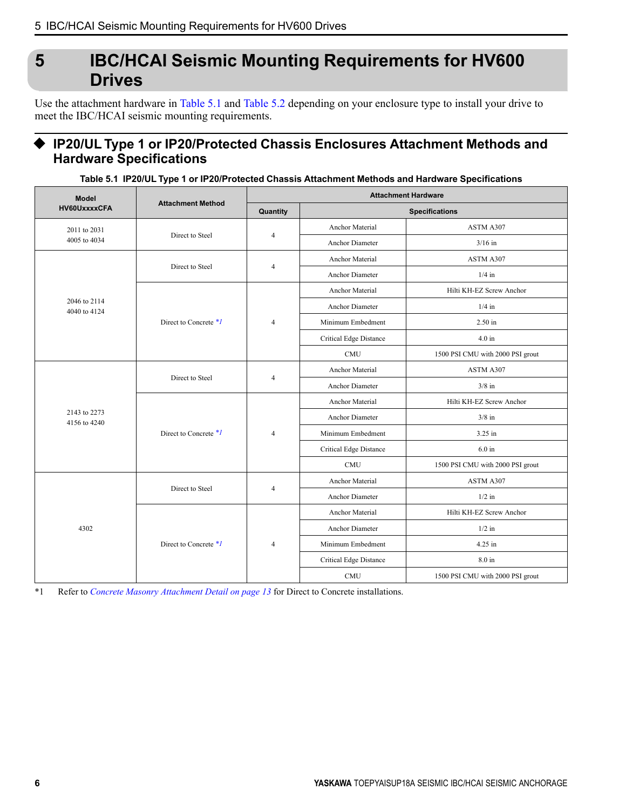# <span id="page-5-0"></span>**5 IBC/HCAI Seismic Mounting Requirements for HV600 Drives**

Use the attachment hardware in [Table](#page-5-1) 5.1 and [Table](#page-6-0) 5.2 depending on your enclosure type to install your drive to meet the IBC/HCAI seismic mounting requirements.

## ◆ **IP20/UL Type 1 or IP20/Protected Chassis Enclosures Attachment Methods and Hardware Specifications**

**Table 5.1 IP20/UL Type 1 or IP20/Protected Chassis Attachment Methods and Hardware Specifications**

<span id="page-5-1"></span>

| <b>Model</b>                 | <b>Attachment Method</b> | <b>Attachment Hardware</b> |                        |                                  |  |
|------------------------------|--------------------------|----------------------------|------------------------|----------------------------------|--|
| HV60UxxxxCFA                 |                          | Quantity                   |                        | <b>Specifications</b>            |  |
| 2011 to 2031                 |                          |                            | Anchor Material        | ASTM A307                        |  |
| 4005 to 4034                 | Direct to Steel          | $\overline{4}$             | Anchor Diameter        | $3/16$ in                        |  |
|                              | Direct to Steel          |                            | Anchor Material        | ASTM A307                        |  |
|                              |                          | $\overline{4}$             | Anchor Diameter        | $1/4$ in                         |  |
|                              |                          |                            | Anchor Material        | Hilti KH-EZ Screw Anchor         |  |
| 2046 to 2114<br>4040 to 4124 |                          |                            | Anchor Diameter        | $1/4$ in                         |  |
|                              | Direct to Concrete *1    | $\overline{4}$             | Minimum Embedment      | 2.50 in                          |  |
|                              |                          |                            | Critical Edge Distance | $4.0 \text{ in}$                 |  |
|                              |                          |                            | <b>CMU</b>             | 1500 PSI CMU with 2000 PSI grout |  |
|                              | Direct to Steel          | $\overline{4}$             | <b>Anchor Material</b> | ASTM A307                        |  |
|                              |                          |                            | <b>Anchor Diameter</b> | $3/8$ in                         |  |
|                              | Direct to Concrete *1    | $\overline{4}$             | Anchor Material        | Hilti KH-EZ Screw Anchor         |  |
| 2143 to 2273<br>4156 to 4240 |                          |                            | <b>Anchor Diameter</b> | $3/8$ in                         |  |
|                              |                          |                            | Minimum Embedment      | 3.25 in                          |  |
|                              |                          |                            | Critical Edge Distance | $6.0$ in                         |  |
|                              |                          |                            | <b>CMU</b>             | 1500 PSI CMU with 2000 PSI grout |  |
|                              | Direct to Steel          | $\overline{4}$             | <b>Anchor Material</b> | ASTM A307                        |  |
|                              |                          |                            | Anchor Diameter        | $1/2$ in                         |  |
|                              |                          |                            | <b>Anchor Material</b> | Hilti KH-EZ Screw Anchor         |  |
| 4302                         |                          |                            | Anchor Diameter        | $1/2$ in                         |  |
|                              | Direct to Concrete *1    | $\overline{4}$             | Minimum Embedment      | 4.25 in                          |  |
|                              |                          |                            | Critical Edge Distance | 8.0 in                           |  |
|                              |                          |                            | <b>CMU</b>             | 1500 PSI CMU with 2000 PSI grout |  |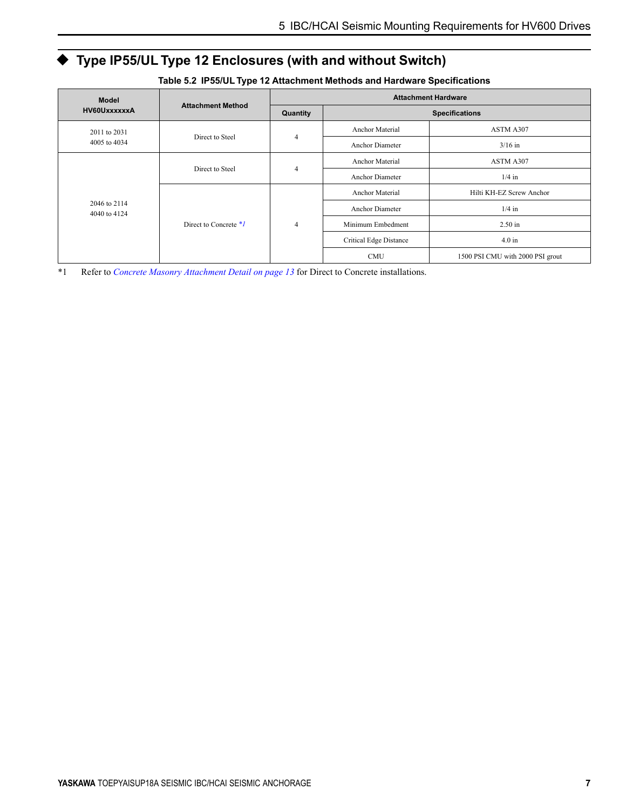# ◆ **Type IP55/UL Type 12 Enclosures (with and without Switch)**

<span id="page-6-1"></span><span id="page-6-0"></span>

| <b>Model</b>                 |                          |                |                        | <b>Attachment Hardware</b>       |
|------------------------------|--------------------------|----------------|------------------------|----------------------------------|
| HV60UxxxxxxA                 | <b>Attachment Method</b> |                |                        | <b>Specifications</b>            |
| 2011 to 2031                 |                          |                | <b>Anchor Material</b> | ASTM A307                        |
| 4005 to 4034                 | Direct to Steel          | $\overline{4}$ | <b>Anchor Diameter</b> | $3/16$ in                        |
| 2046 to 2114<br>4040 to 4124 | Direct to Steel          | 4              | Anchor Material        | ASTM A307                        |
|                              |                          |                | <b>Anchor Diameter</b> | $1/4$ in                         |
|                              | Direct to Concrete $*1$  | $\overline{4}$ | <b>Anchor Material</b> | Hilti KH-EZ Screw Anchor         |
|                              |                          |                | <b>Anchor Diameter</b> | $1/4$ in                         |
|                              |                          |                | Minimum Embedment      | $2.50$ in                        |
|                              |                          |                | Critical Edge Distance | 4.0 in                           |
|                              |                          |                | <b>CMU</b>             | 1500 PSI CMU with 2000 PSI grout |

**Table 5.2 IP55/UL Type 12 Attachment Methods and Hardware Specifications**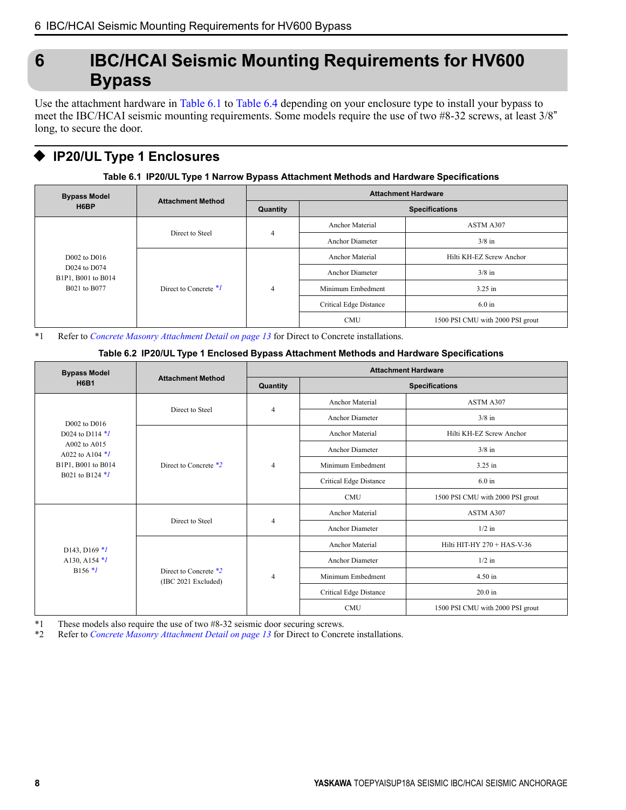# <span id="page-7-0"></span>**6 IBC/HCAI Seismic Mounting Requirements for HV600 Bypass**

Use the attachment hardware in [Table](#page-7-1) 6.1 to [Table](#page-8-0) 6.4 depending on your enclosure type to install your bypass to meet the IBC/HCAI seismic mounting requirements. Some models require the use of two #8-32 screws, at least 3/8" long, to secure the door.

## ◆ **IP20/UL Type 1 Enclosures**

#### **Table 6.1 IP20/UL Type 1 Narrow Bypass Attachment Methods and Hardware Specifications**

<span id="page-7-1"></span>

| <b>Bypass Model</b><br>H6BP                                            | <b>Attachment Method</b> | <b>Attachment Hardware</b> |                        |                                  |
|------------------------------------------------------------------------|--------------------------|----------------------------|------------------------|----------------------------------|
|                                                                        |                          | Quantity                   |                        | <b>Specifications</b>            |
|                                                                        |                          |                            | <b>Anchor Material</b> | ASTM A307                        |
| $D002$ to $D016$<br>D024 to D074<br>B1P1, B001 to B014<br>B021 to B077 | Direct to Steel          | $\overline{4}$             | <b>Anchor Diameter</b> | $3/8$ in                         |
|                                                                        | Direct to Concrete $*1$  | $\overline{4}$             | <b>Anchor Material</b> | Hilti KH-EZ Screw Anchor         |
|                                                                        |                          |                            | <b>Anchor Diameter</b> | $3/8$ in                         |
|                                                                        |                          |                            | Minimum Embedment      | $3.25$ in                        |
|                                                                        |                          |                            | Critical Edge Distance | $6.0$ in                         |
|                                                                        |                          |                            | <b>CMU</b>             | 1500 PSI CMU with 2000 PSI grout |

<span id="page-7-2"></span>\*1 Refer to *Concrete Masonry [Attachment](#page-12-0) Detail on page 13* for Direct to Concrete installations.

#### **Table 6.2 IP20/UL Type 1 Enclosed Bypass Attachment Methods and Hardware Specifications**

| <b>Bypass Model</b>                   |                                              | <b>Attachment Hardware</b> |                               |                                  |
|---------------------------------------|----------------------------------------------|----------------------------|-------------------------------|----------------------------------|
| <b>H6B1</b>                           | <b>Attachment Method</b>                     | Quantity                   |                               | <b>Specifications</b>            |
|                                       |                                              |                            | <b>Anchor Material</b>        | ASTM A307                        |
| D002 to D016                          | Direct to Steel                              | $\overline{4}$             | Anchor Diameter               | $3/8$ in                         |
| D024 to D114 $*1$                     |                                              |                            | <b>Anchor Material</b>        | Hilti KH-EZ Screw Anchor         |
| A002 to A015<br>A022 to A104 $*1$     |                                              |                            | <b>Anchor Diameter</b>        | $3/8$ in                         |
| B1P1, B001 to B014<br>B021 to B124 */ | Direct to Concrete *2                        | $\overline{4}$             | Minimum Embedment             | 3.25 in                          |
|                                       |                                              |                            | <b>Critical Edge Distance</b> | $6.0 \text{ in}$                 |
|                                       |                                              |                            | <b>CMU</b>                    | 1500 PSI CMU with 2000 PSI grout |
|                                       | Direct to Steel                              | $\overline{4}$             | <b>Anchor Material</b>        | ASTM A307                        |
|                                       |                                              |                            | Anchor Diameter               | $1/2$ in                         |
| D143, D169 $*1$                       |                                              |                            | <b>Anchor Material</b>        | Hilti HIT-HY 270 + HAS-V-36      |
| A130, A154 $*1$<br>$B156$ $*1$        |                                              |                            | Anchor Diameter               | $1/2$ in                         |
|                                       | Direct to Concrete *2<br>(IBC 2021 Excluded) | $\overline{4}$             | Minimum Embedment             | 4.50 in                          |
|                                       |                                              |                            | <b>Critical Edge Distance</b> | $20.0$ in                        |
|                                       |                                              |                            | <b>CMU</b>                    | 1500 PSI CMU with 2000 PSI grout |

<span id="page-7-4"></span><span id="page-7-3"></span>\*1 These models also require the use of two #8-32 seismic door securing screws.<br>\*2 Refer to *Concrete Masonry Attachment Detail on page 13* for Direct to Concre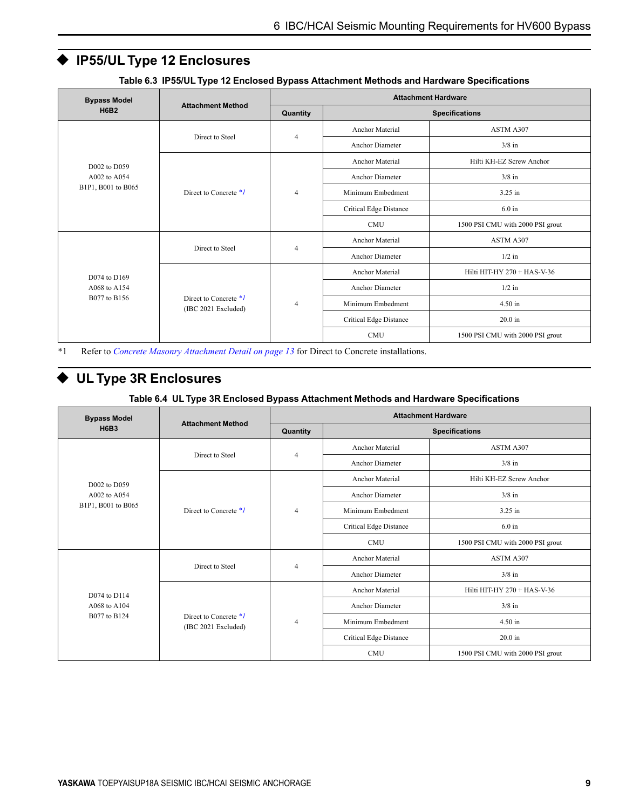## ◆ **IP55/UL Type 12 Enclosures**

| <b>Bypass Model</b>                          | <b>Attachment Method</b>                       | <b>Attachment Hardware</b> |                        |                                  |  |
|----------------------------------------------|------------------------------------------------|----------------------------|------------------------|----------------------------------|--|
| <b>H6B2</b>                                  |                                                | Quantity                   |                        | <b>Specifications</b>            |  |
|                                              | Direct to Steel                                |                            | <b>Anchor Material</b> | ASTM A307                        |  |
|                                              |                                                | $\overline{4}$             | <b>Anchor Diameter</b> | $3/8$ in                         |  |
| D002 to D059                                 |                                                |                            | <b>Anchor Material</b> | Hilti KH-EZ Screw Anchor         |  |
| A002 to A054                                 |                                                |                            | <b>Anchor Diameter</b> | $3/8$ in                         |  |
| B1P1, B001 to B065                           | Direct to Concrete $*1$                        | $\overline{4}$             | Minimum Embedment      | 3.25 in                          |  |
|                                              |                                                |                            | Critical Edge Distance | $6.0$ in                         |  |
|                                              |                                                |                            | <b>CMU</b>             | 1500 PSI CMU with 2000 PSI grout |  |
| D074 to D169<br>A068 to A154<br>B077 to B156 | Direct to Steel                                | $\overline{4}$             | <b>Anchor Material</b> | ASTM A307                        |  |
|                                              |                                                |                            | <b>Anchor Diameter</b> | $1/2$ in                         |  |
|                                              |                                                | $\overline{4}$             | <b>Anchor Material</b> | Hilti HIT-HY 270 + HAS-V-36      |  |
|                                              |                                                |                            | <b>Anchor Diameter</b> | $1/2$ in                         |  |
|                                              | Direct to Concrete $*1$<br>(IBC 2021 Excluded) |                            | Minimum Embedment      | 4.50 in                          |  |
|                                              |                                                |                            | Critical Edge Distance | $20.0$ in                        |  |
|                                              |                                                |                            | <b>CMU</b>             | 1500 PSI CMU with 2000 PSI grout |  |

**Table 6.3 IP55/UL Type 12 Enclosed Bypass Attachment Methods and Hardware Specifications**

<span id="page-8-1"></span>\*1 Refer to *Concrete Masonry [Attachment](#page-12-0) Detail on page 13* for Direct to Concrete installations.

## ◆ **UL Type 3R Enclosures**

#### **Table 6.4 UL Type 3R Enclosed Bypass Attachment Methods and Hardware Specifications**

<span id="page-8-0"></span>

| <b>Bypass Model</b>          | <b>Attachment Method</b>                     | <b>Attachment Hardware</b> |                        |                                  |  |
|------------------------------|----------------------------------------------|----------------------------|------------------------|----------------------------------|--|
| <b>H6B3</b>                  |                                              | Quantity                   |                        | <b>Specifications</b>            |  |
|                              |                                              |                            | <b>Anchor Material</b> | ASTM A307                        |  |
|                              | Direct to Steel                              | $\overline{4}$             | <b>Anchor Diameter</b> | $3/8$ in                         |  |
| D002 to D059                 |                                              |                            | Anchor Material        | Hilti KH-EZ Screw Anchor         |  |
| A002 to A054                 |                                              |                            | <b>Anchor Diameter</b> | $3/8$ in                         |  |
| B1P1, B001 to B065           | Direct to Concrete $*1$                      | $\overline{4}$             | Minimum Embedment      | $3.25$ in                        |  |
|                              |                                              |                            | Critical Edge Distance | $6.0$ in                         |  |
|                              |                                              |                            | <b>CMU</b>             | 1500 PSI CMU with 2000 PSI grout |  |
|                              | Direct to Steel                              | $\overline{4}$             | Anchor Material        | ASTM A307                        |  |
|                              |                                              |                            | <b>Anchor Diameter</b> | $3/8$ in                         |  |
| D074 to D114                 |                                              | $\overline{4}$             | <b>Anchor Material</b> | Hilti HIT-HY 270 + HAS-V-36      |  |
| A068 to A104<br>B077 to B124 |                                              |                            | Anchor Diameter        | $3/8$ in                         |  |
|                              | Direct to Concrete *1<br>(IBC 2021 Excluded) |                            | Minimum Embedment      | 4.50 in                          |  |
|                              |                                              |                            | Critical Edge Distance | $20.0$ in                        |  |
|                              |                                              |                            | <b>CMU</b>             | 1500 PSI CMU with 2000 PSI grout |  |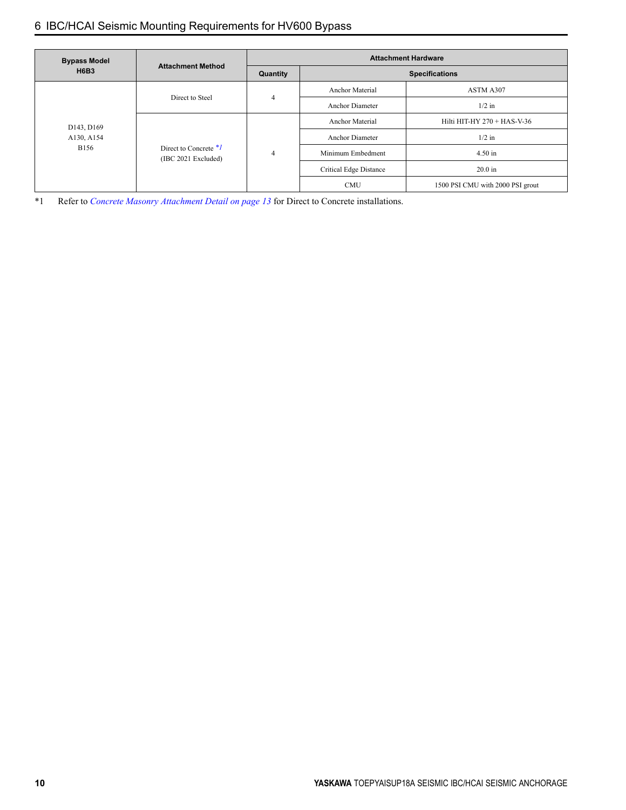### 6 IBC/HCAI Seismic Mounting [Requirements](#page-7-0) for HV600 Bypass

<span id="page-9-0"></span>

| <b>Bypass Model</b><br><b>H6B3</b>      | <b>Attachment Method</b>                       | <b>Attachment Hardware</b>                                                                                                                               |                        |                                  |
|-----------------------------------------|------------------------------------------------|----------------------------------------------------------------------------------------------------------------------------------------------------------|------------------------|----------------------------------|
|                                         |                                                | Quantity                                                                                                                                                 |                        | <b>Specifications</b>            |
| D143, D169<br>A130, A154<br><b>B156</b> | Direct to Steel                                | $\overline{4}$                                                                                                                                           | <b>Anchor Material</b> | ASTM A307                        |
|                                         |                                                |                                                                                                                                                          | <b>Anchor Diameter</b> | $1/2$ in                         |
|                                         |                                                | <b>Anchor Material</b><br>$1/2$ in<br><b>Anchor Diameter</b><br>$4.50$ in<br>Minimum Embedment<br>4<br>Critical Edge Distance<br>$20.0$ in<br><b>CMU</b> |                        | Hilti HIT-HY $270 +$ HAS-V-36    |
|                                         |                                                |                                                                                                                                                          |                        |                                  |
|                                         | Direct to Concrete $*1$<br>(IBC 2021 Excluded) |                                                                                                                                                          |                        |                                  |
|                                         |                                                |                                                                                                                                                          |                        |                                  |
|                                         |                                                |                                                                                                                                                          |                        | 1500 PSI CMU with 2000 PSI grout |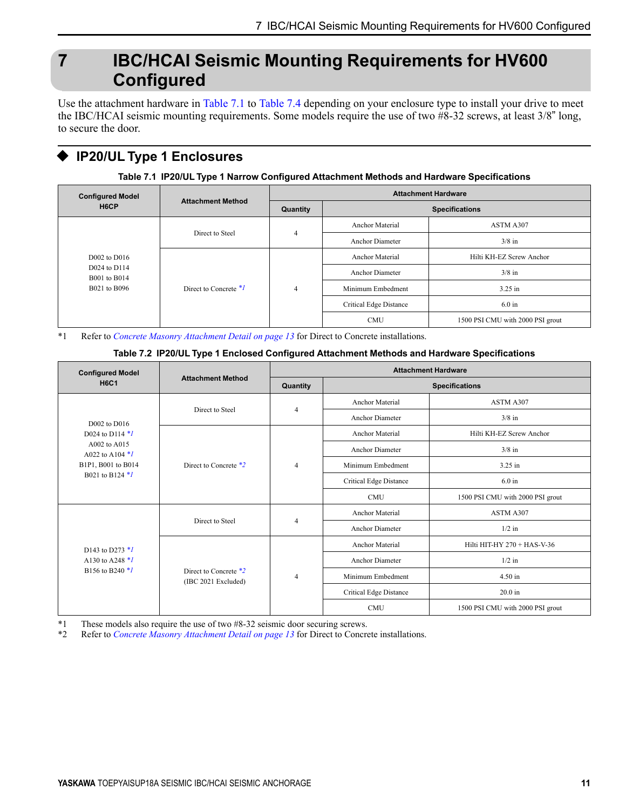# <span id="page-10-0"></span>**7 IBC/HCAI Seismic Mounting Requirements for HV600 Configured**

Use the attachment hardware in [Table](#page-10-1) 7.1 to [Table](#page-11-0) 7.4 depending on your enclosure type to install your drive to meet the IBC/HCAI seismic mounting requirements. Some models require the use of two #8-32 screws, at least 3/8" long, to secure the door.

## ◆ **IP20/UL Type 1 Enclosures**

**Table 7.1 IP20/UL Type 1 Narrow Configured Attachment Methods and Hardware Specifications**

<span id="page-10-1"></span>

| <b>Configured Model</b><br>H6CP | <b>Attachment Method</b>                                       | <b>Attachment Hardware</b> |                        |                                  |
|---------------------------------|----------------------------------------------------------------|----------------------------|------------------------|----------------------------------|
|                                 |                                                                | Quantity                   |                        | <b>Specifications</b>            |
|                                 |                                                                | $\overline{4}$             | Anchor Material        | ASTM A307                        |
|                                 | Direct to Steel                                                |                            | <b>Anchor Diameter</b> | $3/8$ in                         |
| $D002$ to $D016$                |                                                                | $\overline{4}$             | <b>Anchor Material</b> | Hilti KH-EZ Screw Anchor         |
| D024 to D114                    | <b>B001</b> to B014<br>Direct to Concrete $*1$<br>B021 to B096 |                            | Anchor Diameter        | $3/8$ in                         |
|                                 |                                                                |                            | Minimum Embedment      | $3.25$ in                        |
|                                 |                                                                |                            | Critical Edge Distance | $6.0 \text{ in}$                 |
|                                 |                                                                |                            | <b>CMU</b>             | 1500 PSI CMU with 2000 PSI grout |

<span id="page-10-2"></span>\*1 Refer to *Concrete Masonry [Attachment](#page-12-0) Detail on page 13* for Direct to Concrete installations.

#### **Table 7.2 IP20/UL Type 1 Enclosed Configured Attachment Methods and Hardware Specifications**

| <b>Configured Model</b><br><b>H6C1</b>                  | <b>Attachment Method</b> | <b>Attachment Hardware</b>                   |                                                                                                                                   |                                  |         |
|---------------------------------------------------------|--------------------------|----------------------------------------------|-----------------------------------------------------------------------------------------------------------------------------------|----------------------------------|---------|
|                                                         |                          | Quantity                                     |                                                                                                                                   | <b>Specifications</b>            |         |
|                                                         | Direct to Steel          | $\overline{4}$                               | Anchor Material                                                                                                                   | ASTM A307                        |         |
| D002 to D016                                            |                          |                                              | <b>Anchor Diameter</b>                                                                                                            | $3/8$ in                         |         |
| D024 to D114 $*1$                                       |                          | $\overline{4}$                               | <b>Anchor Material</b>                                                                                                            | Hilti KH-EZ Screw Anchor         |         |
| A002 to A015<br>A022 to A104 $*1$                       |                          |                                              | <b>Anchor Diameter</b>                                                                                                            | $3/8$ in                         |         |
| B1P1, B001 to B014<br>B021 to B124 *1                   | Direct to Concrete *2    |                                              | Minimum Embedment                                                                                                                 | 3.25 in                          |         |
|                                                         |                          |                                              | Critical Edge Distance                                                                                                            | $6.0$ in                         |         |
|                                                         |                          |                                              | <b>CMU</b>                                                                                                                        | 1500 PSI CMU with 2000 PSI grout |         |
| D143 to D273 $*1$<br>A130 to A248 *1<br>B156 to B240 *1 |                          |                                              | <b>Anchor Material</b>                                                                                                            | ASTM A307                        |         |
|                                                         | Direct to Steel          | $\overline{4}$                               | <b>Anchor Diameter</b><br>$1/2$ in<br><b>Anchor Material</b><br>Hilti HIT-HY 270 + HAS-V-36<br><b>Anchor Diameter</b><br>$1/2$ in |                                  |         |
|                                                         |                          |                                              |                                                                                                                                   |                                  |         |
|                                                         |                          | Direct to Concrete *2<br>(IBC 2021 Excluded) | $\overline{4}$                                                                                                                    |                                  |         |
|                                                         |                          |                                              |                                                                                                                                   | Minimum Embedment                | 4.50 in |
|                                                         |                          |                                              | Critical Edge Distance                                                                                                            | $20.0$ in                        |         |
|                                                         |                          |                                              | <b>CMU</b>                                                                                                                        | 1500 PSI CMU with 2000 PSI grout |         |

<span id="page-10-4"></span><span id="page-10-3"></span>\*1 These models also require the use of two #8-32 seismic door securing screws.<br>\*2 Refer to *Concrete Masonry Attachment Detail on page 13* for Direct to Concre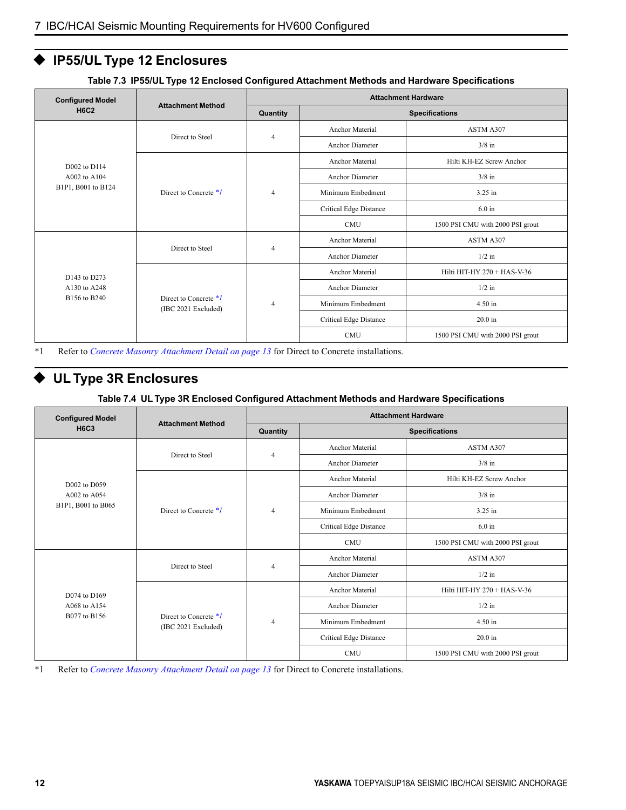## ◆ **IP55/UL Type 12 Enclosures**

| <b>Configured Model</b>                      |                                                | <b>Attachment Hardware</b> |                        |                                  |
|----------------------------------------------|------------------------------------------------|----------------------------|------------------------|----------------------------------|
| <b>H6C2</b>                                  | <b>Attachment Method</b>                       | Quantity                   |                        | <b>Specifications</b>            |
| D002 to D114                                 | Direct to Steel                                | $\overline{4}$             | <b>Anchor Material</b> | ASTM A307                        |
|                                              |                                                |                            | <b>Anchor Diameter</b> | $3/8$ in                         |
|                                              | Direct to Concrete $*1$                        | $\overline{4}$             | <b>Anchor Material</b> | Hilti KH-EZ Screw Anchor         |
| A002 to A104                                 |                                                |                            | <b>Anchor Diameter</b> | $3/8$ in                         |
| B1P1, B001 to B124                           |                                                |                            | Minimum Embedment      | 3.25 in                          |
|                                              |                                                |                            | Critical Edge Distance | $6.0 \text{ in}$                 |
|                                              |                                                |                            | <b>CMU</b>             | 1500 PSI CMU with 2000 PSI grout |
| D143 to D273<br>A130 to A248<br>B156 to B240 |                                                |                            | <b>Anchor Material</b> | ASTM A307                        |
|                                              | Direct to Steel                                | $\overline{4}$             | <b>Anchor Diameter</b> | $1/2$ in                         |
|                                              | Direct to Concrete $*1$<br>(IBC 2021 Excluded) | $\overline{4}$             | <b>Anchor Material</b> | Hilti HIT-HY 270 + HAS-V-36      |
|                                              |                                                |                            | Anchor Diameter        | $1/2$ in                         |
|                                              |                                                |                            | Minimum Embedment      | 4.50 in                          |
|                                              |                                                |                            | Critical Edge Distance | $20.0$ in                        |
|                                              |                                                |                            | <b>CMU</b>             | 1500 PSI CMU with 2000 PSI grout |

**Table 7.3 IP55/UL Type 12 Enclosed Configured Attachment Methods and Hardware Specifications**

<span id="page-11-1"></span>\*1 Refer to *Concrete Masonry [Attachment](#page-12-0) Detail on page 13* for Direct to Concrete installations.

## ◆ **UL Type 3R Enclosures**

#### **Table 7.4 UL Type 3R Enclosed Configured Attachment Methods and Hardware Specifications**

<span id="page-11-2"></span><span id="page-11-0"></span>

| <b>Configured Model</b>                      | <b>Attachment Method</b>                       | <b>Attachment Hardware</b> |                                          |                                  |
|----------------------------------------------|------------------------------------------------|----------------------------|------------------------------------------|----------------------------------|
| <b>H6C3</b>                                  |                                                | Quantity                   |                                          | <b>Specifications</b>            |
| D002 to D059                                 | Direct to Steel                                | $\overline{4}$             | <b>Anchor Material</b>                   | ASTM A307                        |
|                                              |                                                |                            | <b>Anchor Diameter</b>                   | $3/8$ in                         |
|                                              | Direct to Concrete *1                          | $\overline{4}$             | <b>Anchor Material</b>                   | Hilti KH-EZ Screw Anchor         |
| A002 to A054                                 |                                                |                            | <b>Anchor Diameter</b>                   | $3/8$ in                         |
| B1P1, B001 to B065                           |                                                |                            | Minimum Embedment                        | 3.25 in                          |
|                                              |                                                |                            | <b>Critical Edge Distance</b>            | $6.0 \text{ in}$                 |
|                                              |                                                |                            | <b>CMU</b>                               | 1500 PSI CMU with 2000 PSI grout |
| D074 to D169<br>A068 to A154<br>B077 to B156 |                                                |                            | <b>Anchor Material</b>                   | ASTM A307                        |
|                                              | Direct to Steel                                |                            | $\overline{4}$<br><b>Anchor Diameter</b> | $1/2$ in                         |
|                                              | Direct to Concrete $*1$<br>(IBC 2021 Excluded) | $\overline{4}$             | <b>Anchor Material</b>                   | Hilti HIT-HY 270 + HAS-V-36      |
|                                              |                                                |                            | <b>Anchor Diameter</b>                   | $1/2$ in                         |
|                                              |                                                |                            | Minimum Embedment                        | 4.50 in                          |
|                                              |                                                |                            | Critical Edge Distance                   | $20.0$ in                        |
|                                              |                                                |                            | <b>CMU</b>                               | 1500 PSI CMU with 2000 PSI grout |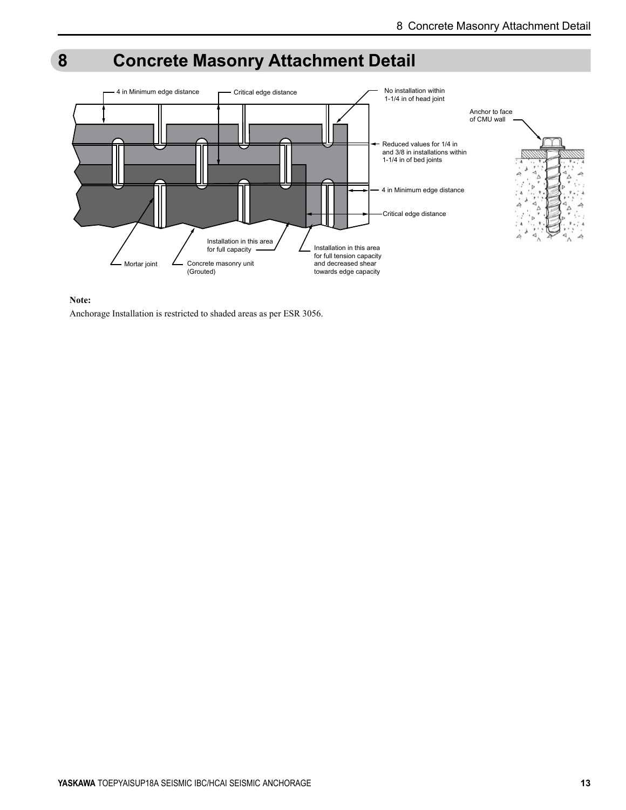# <span id="page-12-0"></span>**8 Concrete Masonry Attachment Detail**





Anchorage Installation is restricted to shaded areas as per ESR 3056.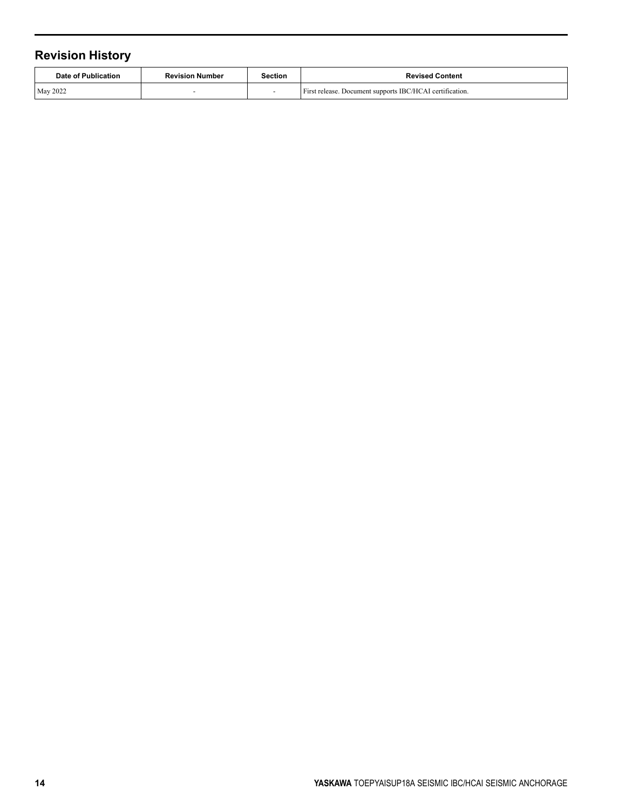## **Revision History**

| Date of Publication | <b>Revision Number</b> | Section | <b>Revised Content</b>                                   |
|---------------------|------------------------|---------|----------------------------------------------------------|
| <b>May 2022</b>     |                        |         | First release. Document supports IBC/HCAI certification. |